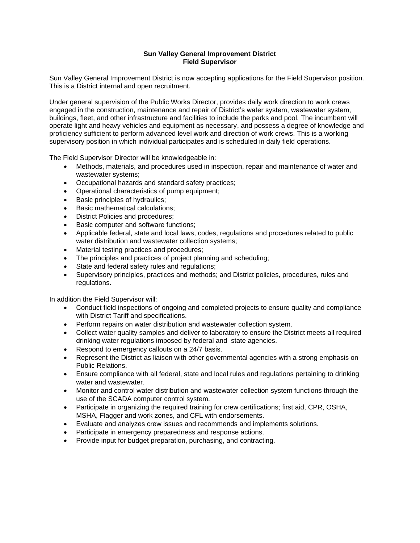#### **Sun Valley General Improvement District Field Supervisor**

Sun Valley General Improvement District is now accepting applications for the Field Supervisor position. This is a District internal and open recruitment.

Under general supervision of the Public Works Director, provides daily work direction to work crews engaged in the construction, maintenance and repair of District's water system, wastewater system, buildings, fleet, and other infrastructure and facilities to include the parks and pool. The incumbent will operate light and heavy vehicles and equipment as necessary, and possess a degree of knowledge and proficiency sufficient to perform advanced level work and direction of work crews. This is a working supervisory position in which individual participates and is scheduled in daily field operations.

The Field Supervisor Director will be knowledgeable in:

- Methods, materials, and procedures used in inspection, repair and maintenance of water and wastewater systems;
- Occupational hazards and standard safety practices;
- Operational characteristics of pump equipment;
- Basic principles of hydraulics;
- Basic mathematical calculations;
- District Policies and procedures;
- Basic computer and software functions;
- Applicable federal, state and local laws, codes, regulations and procedures related to public water distribution and wastewater collection systems;
- Material testing practices and procedures;
- The principles and practices of project planning and scheduling;
- State and federal safety rules and regulations;
- Supervisory principles, practices and methods; and District policies, procedures, rules and regulations.

In addition the Field Supervisor will:

- Conduct field inspections of ongoing and completed projects to ensure quality and compliance with District Tariff and specifications.
- Perform repairs on water distribution and wastewater collection system.
- Collect water quality samples and deliver to laboratory to ensure the District meets all required drinking water regulations imposed by federal and state agencies.
- Respond to emergency callouts on a 24/7 basis.
- Represent the District as liaison with other governmental agencies with a strong emphasis on Public Relations.
- Ensure compliance with all federal, state and local rules and regulations pertaining to drinking water and wastewater.
- Monitor and control water distribution and wastewater collection system functions through the use of the SCADA computer control system.
- Participate in organizing the required training for crew certifications; first aid, CPR, OSHA, MSHA, Flagger and work zones, and CFL with endorsements.
- Evaluate and analyzes crew issues and recommends and implements solutions.
- Participate in emergency preparedness and response actions.
- Provide input for budget preparation, purchasing, and contracting.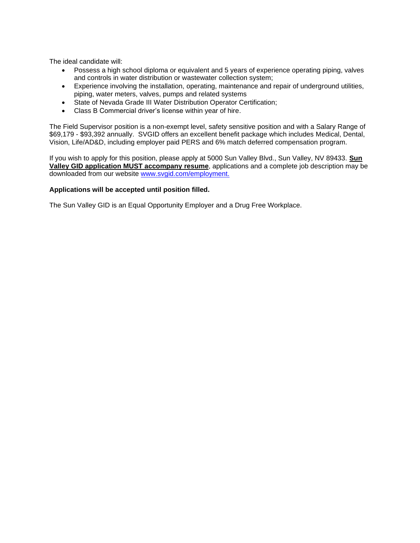The ideal candidate will:

- Possess a high school diploma or equivalent and 5 years of experience operating piping, valves and controls in water distribution or wastewater collection system;
- Experience involving the installation, operating, maintenance and repair of underground utilities, piping, water meters, valves, pumps and related systems
- State of Nevada Grade III Water Distribution Operator Certification;
- Class B Commercial driver's license within year of hire.

The Field Supervisor position is a non-exempt level, safety sensitive position and with a Salary Range of \$69,179 - \$93,392 annually. SVGID offers an excellent benefit package which includes Medical, Dental, Vision, Life/AD&D, including employer paid PERS and 6% match deferred compensation program.

If you wish to apply for this position, please apply at 5000 Sun Valley Blvd., Sun Valley, NV 89433. **Sun Valley GID application MUST accompany resume**, applications and a complete job description may be downloaded from our website [www.svgid.com/employment.](http://www.svgid.com/employment)

#### **Applications will be accepted until position filled.**

The Sun Valley GID is an Equal Opportunity Employer and a Drug Free Workplace.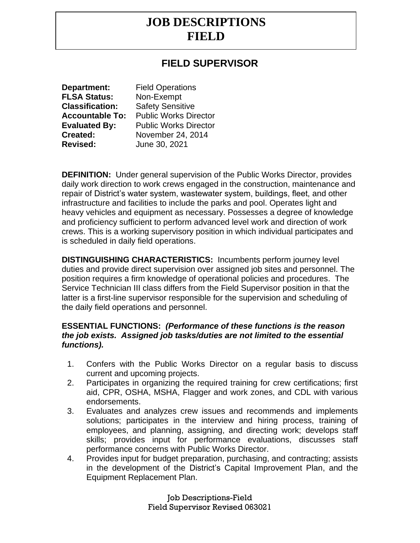# **JOB DESCRIPTIONS FIELD**

## **FIELD SUPERVISOR**

| Department:            | Fio |
|------------------------|-----|
| <b>FLSA Status:</b>    | Nc  |
| <b>Classification:</b> | Sε  |
| <b>Accountable To:</b> | Ρι  |
| <b>Evaluated By:</b>   | Ρι  |
| <b>Created:</b>        | Nc  |
| <b>Revised:</b>        | Ju  |

**Parations FLSA Status:** Non-Exempt **Classification:** Safety Sensitive **Accountable To:** Public Works Director **Evaluated By:** Public Works Director **Created:** November 24, 2014 **Revised:** June 30, 2021

**DEFINITION:** Under general supervision of the Public Works Director, provides daily work direction to work crews engaged in the construction, maintenance and repair of District's water system, wastewater system, buildings, fleet, and other infrastructure and facilities to include the parks and pool. Operates light and heavy vehicles and equipment as necessary. Possesses a degree of knowledge and proficiency sufficient to perform advanced level work and direction of work crews. This is a working supervisory position in which individual participates and is scheduled in daily field operations.

**DISTINGUISHING CHARACTERISTICS:** Incumbents perform journey level duties and provide direct supervision over assigned job sites and personnel. The position requires a firm knowledge of operational policies and procedures. The Service Technician III class differs from the Field Supervisor position in that the latter is a first-line supervisor responsible for the supervision and scheduling of the daily field operations and personnel.

#### **ESSENTIAL FUNCTIONS:** *(Performance of these functions is the reason the job exists. Assigned job tasks/duties are not limited to the essential functions).*

- 1. Confers with the Public Works Director on a regular basis to discuss current and upcoming projects.
- 2. Participates in organizing the required training for crew certifications; first aid, CPR, OSHA, MSHA, Flagger and work zones, and CDL with various endorsements.
- 3. Evaluates and analyzes crew issues and recommends and implements solutions; participates in the interview and hiring process, training of employees, and planning, assigning, and directing work; develops staff skills; provides input for performance evaluations, discusses staff performance concerns with Public Works Director.
- 4. Provides input for budget preparation, purchasing, and contracting; assists in the development of the District's Capital Improvement Plan, and the Equipment Replacement Plan.

Job Descriptions-Field Field Supervisor Revised 063021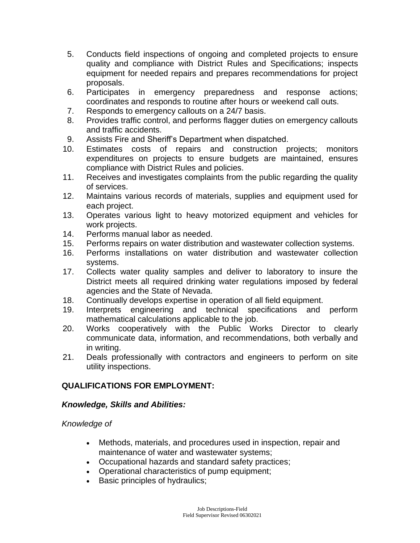- 5. Conducts field inspections of ongoing and completed projects to ensure quality and compliance with District Rules and Specifications; inspects equipment for needed repairs and prepares recommendations for project proposals.
- 6. Participates in emergency preparedness and response actions; coordinates and responds to routine after hours or weekend call outs.
- 7. Responds to emergency callouts on a 24/7 basis.
- 8. Provides traffic control, and performs flagger duties on emergency callouts and traffic accidents.
- 9. Assists Fire and Sheriff's Department when dispatched.
- 10. Estimates costs of repairs and construction projects; monitors expenditures on projects to ensure budgets are maintained, ensures compliance with District Rules and policies.
- 11. Receives and investigates complaints from the public regarding the quality of services.
- 12. Maintains various records of materials, supplies and equipment used for each project.
- 13. Operates various light to heavy motorized equipment and vehicles for work projects.
- 14. Performs manual labor as needed.
- 15. Performs repairs on water distribution and wastewater collection systems.
- 16. Performs installations on water distribution and wastewater collection systems.
- 17. Collects water quality samples and deliver to laboratory to insure the District meets all required drinking water regulations imposed by federal agencies and the State of Nevada.
- 18. Continually develops expertise in operation of all field equipment.
- 19. Interprets engineering and technical specifications and perform mathematical calculations applicable to the job.
- 20. Works cooperatively with the Public Works Director to clearly communicate data, information, and recommendations, both verbally and in writing.
- 21. Deals professionally with contractors and engineers to perform on site utility inspections.

## **QUALIFICATIONS FOR EMPLOYMENT:**

#### *Knowledge, Skills and Abilities:*

#### *Knowledge of*

- Methods, materials, and procedures used in inspection, repair and maintenance of water and wastewater systems;
- Occupational hazards and standard safety practices;
- Operational characteristics of pump equipment;
- Basic principles of hydraulics;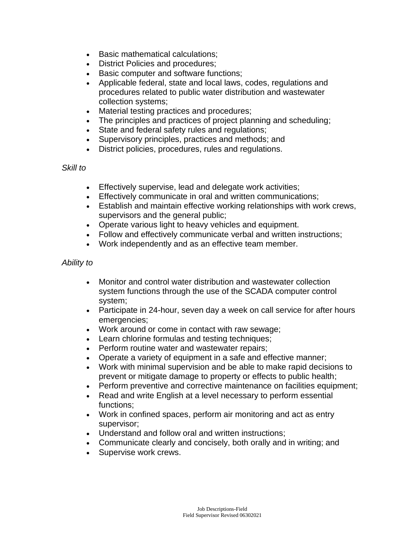- Basic mathematical calculations;
- District Policies and procedures;
- Basic computer and software functions;
- Applicable federal, state and local laws, codes, regulations and procedures related to public water distribution and wastewater collection systems;
- Material testing practices and procedures;
- The principles and practices of project planning and scheduling;
- State and federal safety rules and regulations;
- Supervisory principles, practices and methods; and
- District policies, procedures, rules and regulations.

#### *Skill to*

- Effectively supervise, lead and delegate work activities;
- Effectively communicate in oral and written communications;
- Establish and maintain effective working relationships with work crews, supervisors and the general public;
- Operate various light to heavy vehicles and equipment.
- Follow and effectively communicate verbal and written instructions;
- Work independently and as an effective team member.

#### *Ability to*

- Monitor and control water distribution and wastewater collection system functions through the use of the SCADA computer control system;
- Participate in 24-hour, seven day a week on call service for after hours emergencies;
- Work around or come in contact with raw sewage;
- Learn chlorine formulas and testing techniques;
- Perform routine water and wastewater repairs;
- Operate a variety of equipment in a safe and effective manner;
- Work with minimal supervision and be able to make rapid decisions to prevent or mitigate damage to property or effects to public health;
- Perform preventive and corrective maintenance on facilities equipment;
- Read and write English at a level necessary to perform essential functions;
- Work in confined spaces, perform air monitoring and act as entry supervisor;
- Understand and follow oral and written instructions;
- Communicate clearly and concisely, both orally and in writing; and
- Supervise work crews.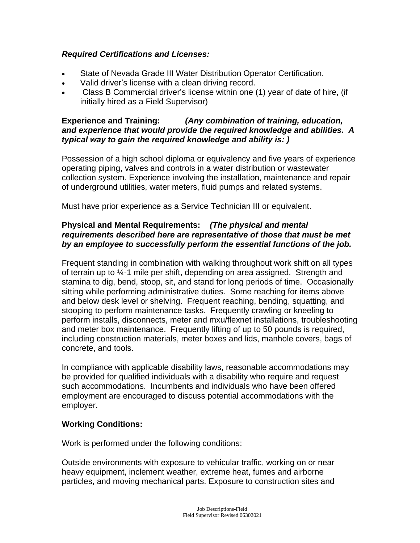#### *Required Certifications and Licenses:*

- State of Nevada Grade III Water Distribution Operator Certification.
- Valid driver's license with a clean driving record.
- Class B Commercial driver's license within one (1) year of date of hire, (if initially hired as a Field Supervisor)

#### **Experience and Training:** *(Any combination of training, education, and experience that would provide the required knowledge and abilities. A typical way to gain the required knowledge and ability is: )*

Possession of a high school diploma or equivalency and five years of experience operating piping, valves and controls in a water distribution or wastewater collection system. Experience involving the installation, maintenance and repair of underground utilities, water meters, fluid pumps and related systems.

Must have prior experience as a Service Technician III or equivalent.

#### **Physical and Mental Requirements:** *(The physical and mental requirements described here are representative of those that must be met by an employee to successfully perform the essential functions of the job.*

Frequent standing in combination with walking throughout work shift on all types of terrain up to ¼-1 mile per shift, depending on area assigned. Strength and stamina to dig, bend, stoop, sit, and stand for long periods of time. Occasionally sitting while performing administrative duties. Some reaching for items above and below desk level or shelving. Frequent reaching, bending, squatting, and stooping to perform maintenance tasks. Frequently crawling or kneeling to perform installs, disconnects, meter and mxu/flexnet installations, troubleshooting and meter box maintenance. Frequently lifting of up to 50 pounds is required, including construction materials, meter boxes and lids, manhole covers, bags of concrete, and tools.

In compliance with applicable disability laws, reasonable accommodations may be provided for qualified individuals with a disability who require and request such accommodations. Incumbents and individuals who have been offered employment are encouraged to discuss potential accommodations with the employer.

## **Working Conditions:**

Work is performed under the following conditions:

Outside environments with exposure to vehicular traffic, working on or near heavy equipment, inclement weather, extreme heat, fumes and airborne particles, and moving mechanical parts. Exposure to construction sites and